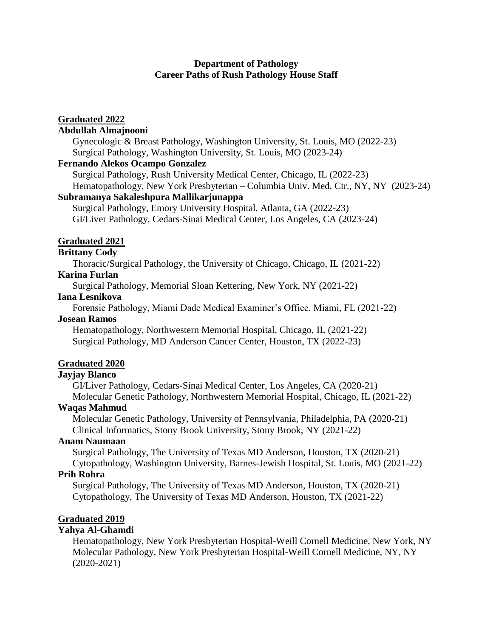### **Department of Pathology Career Paths of Rush Pathology House Staff**

# **Graduated 2022**

# **Abdullah Almajnooni**

Gynecologic & Breast Pathology, Washington University, St. Louis, MO (2022-23) Surgical Pathology, Washington University, St. Louis, MO (2023-24)

#### **Fernando Alekos Ocampo Gonzalez**

Surgical Pathology, Rush University Medical Center, Chicago, IL (2022-23) Hematopathology, New York Presbyterian – Columbia Univ. Med. Ctr., NY, NY (2023-24)

### **Subramanya Sakaleshpura Mallikarjunappa**

Surgical Pathology, Emory University Hospital, Atlanta, GA (2022-23) GI/Liver Pathology, Cedars-Sinai Medical Center, Los Angeles, CA (2023-24)

# **Graduated 2021**

## **Brittany Cody**

Thoracic/Surgical Pathology, the University of Chicago, Chicago, IL (2021-22)

## **Karina Furlan**

Surgical Pathology, Memorial Sloan Kettering, New York, NY (2021-22)

### **Iana Lesnikova**

Forensic Pathology, Miami Dade Medical Examiner's Office, Miami, FL (2021-22)

### **Josean Ramos**

Hematopathology, Northwestern Memorial Hospital, Chicago, IL (2021-22) Surgical Pathology, MD Anderson Cancer Center, Houston, TX (2022-23)

### **Graduated 2020**

#### **Jayjay Blanco**

GI/Liver Pathology, Cedars-Sinai Medical Center, Los Angeles, CA (2020-21) Molecular Genetic Pathology, Northwestern Memorial Hospital, Chicago, IL (2021-22)

### **Waqas Mahmud**

Molecular Genetic Pathology, University of Pennsylvania, Philadelphia, PA (2020-21) Clinical Informatics, Stony Brook University, Stony Brook, NY (2021-22)

#### **Anam Naumaan**

Surgical Pathology, The University of Texas MD Anderson, Houston, TX (2020-21) Cytopathology, Washington University, Barnes-Jewish Hospital, St. Louis, MO (2021-22)

### **Prih Rohra**

Surgical Pathology, The University of Texas MD Anderson, Houston, TX (2020-21) Cytopathology, The University of Texas MD Anderson, Houston, TX (2021-22)

### **Graduated 2019**

### **Yahya Al-Ghamdi**

Hematopathology, New York Presbyterian Hospital-Weill Cornell Medicine, New York, NY Molecular Pathology, New York Presbyterian Hospital-Weill Cornell Medicine, NY, NY (2020-2021)